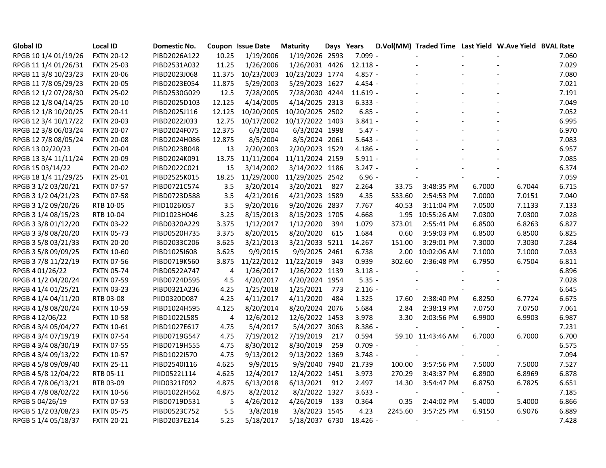| <b>Global ID</b>     | <b>Local ID</b>   | <b>Domestic No.</b> |        | <b>Coupon Issue Date</b> | <b>Maturity</b> | Days Years |            |         | D.Vol(MM) Traded Time Last Yield W.Ave Yield BVAL Rate |        |        |       |
|----------------------|-------------------|---------------------|--------|--------------------------|-----------------|------------|------------|---------|--------------------------------------------------------|--------|--------|-------|
| RPGB 10 1/4 01/19/26 | <b>FXTN 20-12</b> | PIBD2026A122        | 10.25  | 1/19/2006                | 1/19/2026 2593  |            | 7.099 -    |         |                                                        |        |        | 7.060 |
| RPGB 11 1/4 01/26/31 | <b>FXTN 25-03</b> | PIBD2531A032        | 11.25  | 1/26/2006                | 1/26/2031 4426  |            | $12.118 -$ |         |                                                        |        |        | 7.029 |
| RPGB 11 3/8 10/23/23 | <b>FXTN 20-06</b> | PIBD2023J068        | 11.375 | 10/23/2003               | 10/23/2023 1774 |            | $4.857 -$  |         |                                                        |        |        | 7.080 |
| RPGB 11 7/8 05/29/23 | <b>FXTN 20-05</b> | PIBD2023E054        | 11.875 | 5/29/2003                | 5/29/2023 1627  |            | 4.454 -    |         |                                                        |        |        | 7.021 |
| RPGB 12 1/2 07/28/30 | <b>FXTN 25-02</b> | PIBD2530G029        | 12.5   | 7/28/2005                | 7/28/2030 4244  |            | $11.619 -$ |         |                                                        |        |        | 7.191 |
| RPGB 12 1/8 04/14/25 | <b>FXTN 20-10</b> | PIBD2025D103        | 12.125 | 4/14/2005                | 4/14/2025 2313  |            | $6.333 -$  |         |                                                        |        |        | 7.049 |
| RPGB 12 1/8 10/20/25 | <b>FXTN 20-11</b> | PIBD2025J116        | 12.125 | 10/20/2005               | 10/20/2025 2502 |            | $6.85 -$   |         |                                                        |        |        | 7.052 |
| RPGB 12 3/4 10/17/22 | <b>FXTN 20-03</b> | PIBD2022J033        | 12.75  | 10/17/2002               | 10/17/2022 1403 |            | $3.841 -$  |         |                                                        |        |        | 6.995 |
| RPGB 12 3/8 06/03/24 | <b>FXTN 20-07</b> | PIBD2024F075        | 12.375 | 6/3/2004                 | 6/3/2024 1998   |            | $5.47 -$   |         |                                                        |        |        | 6.970 |
| RPGB 12 7/8 08/05/24 | <b>FXTN 20-08</b> | PIBD2024H086        | 12.875 | 8/5/2004                 | 8/5/2024 2061   |            | $5.643 -$  |         |                                                        |        |        | 7.083 |
| RPGB 13 02/20/23     | <b>FXTN 20-04</b> | PIBD2023B048        | 13     | 2/20/2003                | 2/20/2023 1529  |            | $4.186 -$  |         |                                                        |        |        | 6.957 |
| RPGB 13 3/4 11/11/24 | <b>FXTN 20-09</b> | PIBD2024K091        | 13.75  | 11/11/2004               | 11/11/2024 2159 |            | $5.911 -$  |         |                                                        |        |        | 7.085 |
| RPGB 15 03/14/22     | <b>FXTN 20-02</b> | PIBD2022C021        | 15     | 3/14/2002                | 3/14/2022 1186  |            | $3.247 -$  |         |                                                        |        |        | 6.374 |
| RPGB 18 1/4 11/29/25 | <b>FXTN 25-01</b> | PIBD2525K015        | 18.25  | 11/29/2000               | 11/29/2025 2542 |            | $6.96 -$   |         |                                                        |        |        | 7.059 |
| RPGB 3 1/2 03/20/21  | <b>FXTN 07-57</b> | PIBD0721C574        | 3.5    | 3/20/2014                | 3/20/2021       | 827        | 2.264      | 33.75   | 3:48:35 PM                                             | 6.7000 | 6.7044 | 6.715 |
| RPGB 3 1/2 04/21/23  | <b>FXTN 07-58</b> | PIBD0723D588        | 3.5    | 4/21/2016                | 4/21/2023 1589  |            | 4.35       | 533.60  | 2:54:53 PM                                             | 7.0000 | 7.0151 | 7.040 |
| RPGB 3 1/2 09/20/26  | RTB 10-05         | PIID1026I057        | 3.5    | 9/20/2016                | 9/20/2026 2837  |            | 7.767      | 40.53   | 3:11:04 PM                                             | 7.0500 | 7.1133 | 7.133 |
| RPGB 3 1/4 08/15/23  | RTB 10-04         | PIID1023H046        | 3.25   | 8/15/2013                | 8/15/2023 1705  |            | 4.668      |         | 1.95 10:55:26 AM                                       | 7.0300 | 7.0300 | 7.028 |
| RPGB 3 3/8 01/12/20  | <b>FXTN 03-22</b> | PIBD0320A229        | 3.375  | 1/12/2017                | 1/12/2020       | 394        | 1.079      | 373.01  | 2:55:41 PM                                             | 6.8500 | 6.8263 | 6.827 |
| RPGB 3 3/8 08/20/20  | <b>FXTN 05-73</b> | PIBD0520H735        | 3.375  | 8/20/2015                | 8/20/2020       | 615        | 1.684      | 0.60    | 3:59:03 PM                                             | 6.8500 | 6.8500 | 6.825 |
| RPGB 3 5/8 03/21/33  | <b>FXTN 20-20</b> | PIBD2033C206        | 3.625  | 3/21/2013                | 3/21/2033 5211  |            | 14.267     | 151.00  | 3:29:01 PM                                             | 7.3000 | 7.3030 | 7.284 |
| RPGB 3 5/8 09/09/25  | <b>FXTN 10-60</b> | PIBD1025I608        | 3.625  | 9/9/2015                 | 9/9/2025 2461   |            | 6.738      | 2.00    | 10:02:06 AM                                            | 7.1000 | 7.1000 | 7.033 |
| RPGB 3 7/8 11/22/19  | <b>FXTN 07-56</b> | PIBD0719K560        | 3.875  | 11/22/2012               | 11/22/2019      | 343        | 0.939      | 302.60  | 2:36:48 PM                                             | 6.7950 | 6.7504 | 6.811 |
| RPGB 4 01/26/22      | <b>FXTN 05-74</b> | PIBD0522A747        | 4      | 1/26/2017                | 1/26/2022 1139  |            | $3.118 -$  |         |                                                        |        |        | 6.896 |
| RPGB 4 1/2 04/20/24  | <b>FXTN 07-59</b> | PIBD0724D595        | 4.5    | 4/20/2017                | 4/20/2024 1954  |            | $5.35 -$   |         |                                                        |        |        | 7.028 |
| RPGB 4 1/4 01/25/21  | <b>FXTN 03-23</b> | PIBD0321A236        | 4.25   | 1/25/2018                | 1/25/2021       | 773        | $2.116 -$  |         |                                                        |        |        | 6.645 |
| RPGB 4 1/4 04/11/20  | RTB 03-08         | PIID0320D087        | 4.25   | 4/11/2017                | 4/11/2020       | 484        | 1.325      | 17.60   | 2:38:40 PM                                             | 6.8250 | 6.7724 | 6.675 |
| RPGB 4 1/8 08/20/24  | <b>FXTN 10-59</b> | PIBD1024H595        | 4.125  | 8/20/2014                | 8/20/2024 2076  |            | 5.684      | 2.84    | 2:38:19 PM                                             | 7.0750 | 7.0750 | 7.061 |
| RPGB 4 12/06/22      | <b>FXTN 10-58</b> | PIBD1022L585        | 4      | 12/6/2012                | 12/6/2022 1453  |            | 3.978      | 3.30    | 2:03:56 PM                                             | 6.9900 | 6.9903 | 6.987 |
| RPGB 4 3/4 05/04/27  | <b>FXTN 10-61</b> | PIBD1027E617        | 4.75   | 5/4/2017                 | 5/4/2027 3063   |            | $8.386 -$  |         |                                                        |        |        | 7.231 |
| RPGB 4 3/4 07/19/19  | <b>FXTN 07-54</b> | PIBD0719G547        | 4.75   | 7/19/2012                | 7/19/2019       | 217        | 0.594      |         | 59.10 11:43:46 AM                                      | 6.7000 | 6.7000 | 6.700 |
| RPGB 4 3/4 08/30/19  | <b>FXTN 07-55</b> | PIBD0719H555        | 4.75   | 8/30/2012                | 8/30/2019       | 259        | $0.709 -$  |         |                                                        |        |        | 6.575 |
| RPGB 4 3/4 09/13/22  | <b>FXTN 10-57</b> | PIBD1022I570        | 4.75   | 9/13/2012                | 9/13/2022 1369  |            | $3.748 -$  |         |                                                        |        |        | 7.094 |
| RPGB 4 5/8 09/09/40  | <b>FXTN 25-11</b> | PIBD2540I116        | 4.625  | 9/9/2015                 | 9/9/2040 7940   |            | 21.739     | 100.00  | 3:57:56 PM                                             | 7.5000 | 7.5000 | 7.527 |
| RPGB 4 5/8 12/04/22  | RTB 05-11         | PIID0522L114        | 4.625  | 12/4/2017                | 12/4/2022 1451  |            | 3.973      | 270.29  | 3:43:37 PM                                             | 6.8900 | 6.8969 | 6.878 |
| RPGB 4 7/8 06/13/21  | RTB 03-09         | PIID0321F092        | 4.875  | 6/13/2018                | 6/13/2021 912   |            | 2.497      | 14.30   | 3:54:47 PM                                             | 6.8750 | 6.7825 | 6.651 |
| RPGB 4 7/8 08/02/22  | <b>FXTN 10-56</b> | PIBD1022H562        | 4.875  | 8/2/2012                 | 8/2/2022 1327   |            | $3.633 -$  |         |                                                        |        |        | 7.185 |
| RPGB 5 04/26/19      | <b>FXTN 07-53</b> | PIBD0719D531        | 5      | 4/26/2012                | 4/26/2019       | 133        | 0.364      | 0.35    | 2:44:02 PM                                             | 5.4000 | 5.4000 | 6.866 |
| RPGB 5 1/2 03/08/23  | <b>FXTN 05-75</b> | PIBD0523C752        | 5.5    | 3/8/2018                 | 3/8/2023 1545   |            | 4.23       | 2245.60 | 3:57:25 PM                                             | 6.9150 | 6.9076 | 6.889 |
| RPGB 5 1/4 05/18/37  | <b>FXTN 20-21</b> | PIBD2037E214        | 5.25   | 5/18/2017                | 5/18/2037 6730  |            | $18.426 -$ |         | $\blacksquare$                                         |        |        | 7.428 |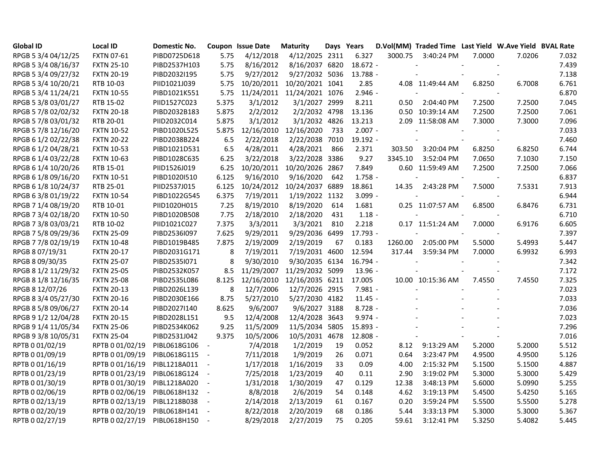| <b>Global ID</b>    | <b>Local ID</b>   | <b>Domestic No.</b> |                          | Coupon Issue Date | <b>Maturity</b>            | Days Years |            |         | D.Vol(MM) Traded Time Last Yield W.Ave Yield BVAL Rate |        |        |       |
|---------------------|-------------------|---------------------|--------------------------|-------------------|----------------------------|------------|------------|---------|--------------------------------------------------------|--------|--------|-------|
| RPGB 5 3/4 04/12/25 | <b>FXTN 07-61</b> | PIBD0725D618        | 5.75                     | 4/12/2018         | 4/12/2025 2311             |            | 6.327      | 3000.75 | 3:40:24 PM                                             | 7.0000 | 7.0206 | 7.032 |
| RPGB 5 3/4 08/16/37 | <b>FXTN 25-10</b> | PIBD2537H103        | 5.75                     | 8/16/2012         | 8/16/2037 6820             |            | 18.672 -   |         |                                                        |        |        | 7.439 |
| RPGB 5 3/4 09/27/32 | <b>FXTN 20-19</b> | PIBD2032I195        | 5.75                     | 9/27/2012         | 9/27/2032 5036             |            | 13.788 -   |         |                                                        |        |        | 7.138 |
| RPGB 5 3/4 10/20/21 | RTB 10-03         | PIID1021J039        | 5.75                     |                   | 10/20/2011 10/20/2021 1041 |            | 2.85       |         | 4.08 11:49:44 AM                                       | 6.8250 | 6.7008 | 6.761 |
| RPGB 5 3/4 11/24/21 | <b>FXTN 10-55</b> | PIBD1021K551        | 5.75                     |                   | 11/24/2011 11/24/2021 1076 |            | $2.946 -$  |         |                                                        |        |        | 6.870 |
| RPGB 5 3/8 03/01/27 | RTB 15-02         | PIID1527C023        | 5.375                    | 3/1/2012          | 3/1/2027 2999              |            | 8.211      | 0.50    | 2:04:40 PM                                             | 7.2500 | 7.2500 | 7.045 |
| RPGB 5 7/8 02/02/32 | <b>FXTN 20-18</b> | PIBD2032B183        | 5.875                    | 2/2/2012          | 2/2/2032 4798              |            | 13.136     |         | 0.50 10:39:14 AM                                       | 7.2500 | 7.2500 | 7.061 |
| RPGB 5 7/8 03/01/32 | RTB 20-01         | PIID2032C014        | 5.875                    | 3/1/2012          | 3/1/2032 4826              |            | 13.213     |         | 2.09 11:58:08 AM                                       | 7.3000 | 7.3000 | 7.096 |
| RPGB 5 7/8 12/16/20 | <b>FXTN 10-52</b> | PIBD1020L525        | 5.875                    |                   | 12/16/2010 12/16/2020      | 733        | $2.007 -$  |         |                                                        |        |        | 7.033 |
| RPGB 6 1/2 02/22/38 | <b>FXTN 20-22</b> | PIBD2038B224        | 6.5                      | 2/22/2018         | 2/22/2038 7010             |            | 19.192 -   |         |                                                        |        |        | 7.460 |
| RPGB 6 1/2 04/28/21 | <b>FXTN 10-53</b> | PIBD1021D531        | 6.5                      | 4/28/2011         | 4/28/2021                  | 866        | 2.371      | 303.50  | 3:20:04 PM                                             | 6.8250 | 6.8250 | 6.744 |
| RPGB 6 1/4 03/22/28 | <b>FXTN 10-63</b> | PIBD1028C635        | 6.25                     | 3/22/2018         | 3/22/2028 3386             |            | 9.27       | 3345.10 | 3:52:04 PM                                             | 7.0650 | 7.1030 | 7.150 |
| RPGB 6 1/4 10/20/26 | RTB 15-01         | PIID1526J019        | 6.25                     | 10/20/2011        | 10/20/2026 2867            |            | 7.849      |         | 0.60 11:59:49 AM                                       | 7.2500 | 7.2500 | 7.066 |
| RPGB 6 1/8 09/16/20 | <b>FXTN 10-51</b> | PIBD1020I510        | 6.125                    | 9/16/2010         | 9/16/2020                  | 642        | $1.758 -$  |         |                                                        |        |        | 6.837 |
| RPGB 6 1/8 10/24/37 | RTB 25-01         | PIID2537J015        | 6.125                    |                   | 10/24/2012 10/24/2037 6889 |            | 18.861     | 14.35   | 2:43:28 PM                                             | 7.5000 | 7.5331 | 7.913 |
| RPGB 63/8 01/19/22  | <b>FXTN 10-54</b> | PIBD1022G545        | 6.375                    | 7/19/2011         | 1/19/2022 1132             |            | $3.099 -$  |         |                                                        |        |        | 6.944 |
| RPGB 7 1/4 08/19/20 | RTB 10-01         | PIID1020H015        | 7.25                     | 8/19/2010         | 8/19/2020                  | 614        | 1.681      |         | 0.25 11:07:57 AM                                       | 6.8500 | 6.8476 | 6.731 |
| RPGB 7 3/4 02/18/20 | <b>FXTN 10-50</b> | PIBD1020B508        | 7.75                     | 2/18/2010         | 2/18/2020                  | 431        | $1.18 -$   |         |                                                        |        |        | 6.710 |
| RPGB 7 3/8 03/03/21 | RTB 10-02         | PIID1021C027        | 7.375                    | 3/3/2011          | 3/3/2021                   | 810        | 2.218      |         | 0.17 11:51:24 AM                                       | 7.0000 | 6.9176 | 6.605 |
| RPGB 7 5/8 09/29/36 | <b>FXTN 25-09</b> | PIBD2536I097        | 7.625                    | 9/29/2011         | 9/29/2036 6499             |            | 17.793 -   |         |                                                        |        |        | 7.397 |
| RPGB 7 7/8 02/19/19 | <b>FXTN 10-48</b> | PIBD1019B485        | 7.875                    | 2/19/2009         | 2/19/2019                  | 67         | 0.183      | 1260.00 | 2:05:00 PM                                             | 5.5000 | 5.4993 | 5.447 |
| RPGB 8 07/19/31     | <b>FXTN 20-17</b> | PIBD2031G171        | 8                        | 7/19/2011         | 7/19/2031 4600             |            | 12.594     | 317.44  | 3:59:34 PM                                             | 7.0000 | 6.9932 | 6.993 |
| RPGB 8 09/30/35     | <b>FXTN 25-07</b> | PIBD2535I071        | 8                        | 9/30/2010         | 9/30/2035 6134             |            | $16.794 -$ |         |                                                        |        |        | 7.342 |
| RPGB 8 1/2 11/29/32 | <b>FXTN 25-05</b> | PIBD2532K057        | 8.5                      | 11/29/2007        | 11/29/2032 5099            |            | $13.96 -$  |         |                                                        |        |        | 7.172 |
| RPGB 8 1/8 12/16/35 | <b>FXTN 25-08</b> | PIBD2535L086        | 8.125                    | 12/16/2010        | 12/16/2035 6211            |            | 17.005     |         | 10.00 10:15:36 AM                                      | 7.4550 | 7.4550 | 7.325 |
| RPGB 8 12/07/26     | <b>FXTN 20-13</b> | PIBD2026L139        | 8                        | 12/7/2006         | 12/7/2026 2915             |            | $7.981 -$  |         |                                                        |        |        | 7.023 |
| RPGB 8 3/4 05/27/30 | <b>FXTN 20-16</b> | PIBD2030E166        | 8.75                     | 5/27/2010         | 5/27/2030 4182             |            | $11.45 -$  |         |                                                        |        |        | 7.033 |
| RPGB 8 5/8 09/06/27 | <b>FXTN 20-14</b> | PIBD2027I140        | 8.625                    | 9/6/2007          | 9/6/2027 3188              |            | $8.728 -$  |         |                                                        |        |        | 7.036 |
| RPGB 9 1/2 12/04/28 | <b>FXTN 20-15</b> | PIBD2028L151        | 9.5                      | 12/4/2008         | 12/4/2028 3643             |            | $9.974 -$  |         |                                                        |        |        | 7.023 |
| RPGB 9 1/4 11/05/34 | <b>FXTN 25-06</b> | PIBD2534K062        | 9.25                     | 11/5/2009         | 11/5/2034 5805             |            | 15.893 -   |         |                                                        |        |        | 7.296 |
| RPGB 9 3/8 10/05/31 | <b>FXTN 25-04</b> | PIBD2531J042        | 9.375                    | 10/5/2006         | 10/5/2031 4678             |            | 12.808 -   |         |                                                        |        |        | 7.016 |
| RPTB 0 01/02/19     | RPTB 0 01/02/19   | PIBL0618G106        | $\blacksquare$           | 7/4/2018          | 1/2/2019                   | 19         | 0.052      | 8.12    | 9:13:29 AM                                             | 5.2000 | 5.2000 | 5.512 |
| RPTB 0 01/09/19     | RPTB 0 01/09/19   | PIBL0618G115        |                          | 7/11/2018         | 1/9/2019                   | 26         | 0.071      | 0.64    | 3:23:47 PM                                             | 4.9500 | 4.9500 | 5.126 |
| RPTB 0 01/16/19     | RPTB 0 01/16/19   | PIBL1218A011        |                          | 1/17/2018         | 1/16/2019                  | 33         | 0.09       | 4.00    | 2:15:32 PM                                             | 5.1500 | 5.1500 | 4.887 |
| RPTB 0 01/23/19     | RPTB 0 01/23/19   | PIBL0618G124        |                          | 7/25/2018         | 1/23/2019                  | 40         | 0.11       | 2.90    | 3:19:02 PM                                             | 5.3000 | 5.3000 | 5.429 |
| RPTB 0 01/30/19     | RPTB 0 01/30/19   | PIBL1218A020        | $\overline{\phantom{a}}$ | 1/31/2018         | 1/30/2019                  | 47         | 0.129      | 12.38   | 3:48:13 PM                                             | 5.6000 | 5.0990 | 5.255 |
| RPTB 0 02/06/19     | RPTB 0 02/06/19   | PIBL0618H132        | $\overline{\phantom{a}}$ | 8/8/2018          | 2/6/2019                   | 54         | 0.148      | 4.62    | 3:19:13 PM                                             | 5.4500 | 5.4250 | 5.165 |
| RPTB 0 02/13/19     | RPTB 0 02/13/19   | PIBL1218B038        | $\overline{\phantom{a}}$ | 2/14/2018         | 2/13/2019                  | 61         | 0.167      | 0.20    | 3:59:24 PM                                             | 5.5500 | 5.5500 | 5.278 |
| RPTB 0 02/20/19     | RPTB 0 02/20/19   | PIBL0618H141        | $\overline{\phantom{a}}$ | 8/22/2018         | 2/20/2019                  | 68         | 0.186      | 5.44    | 3:33:13 PM                                             | 5.3000 | 5.3000 | 5.367 |
| RPTB 0 02/27/19     | RPTB 0 02/27/19   | PIBL0618H150        | $\sim$ $-$               | 8/29/2018         | 2/27/2019                  | 75         | 0.205      | 59.61   | 3:12:41 PM                                             | 5.3250 | 5.4082 | 5.445 |
|                     |                   |                     |                          |                   |                            |            |            |         |                                                        |        |        |       |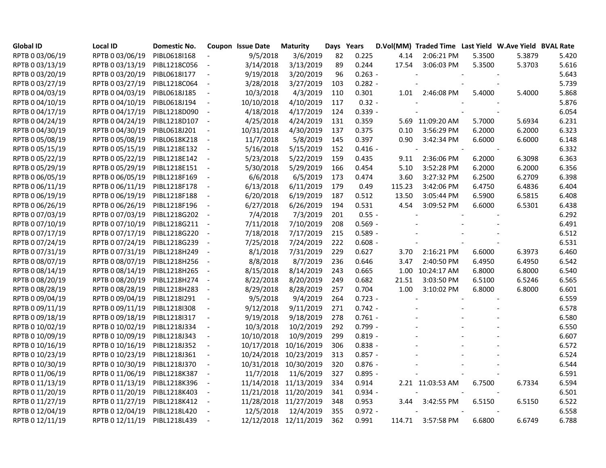| <b>Global ID</b> | <b>Local ID</b> | Domestic No. |                          | Coupon Issue Date | <b>Maturity</b>       | Days Years |           |        | D.Vol(MM) Traded Time Last Yield W.Ave Yield BVAL Rate |        |        |       |
|------------------|-----------------|--------------|--------------------------|-------------------|-----------------------|------------|-----------|--------|--------------------------------------------------------|--------|--------|-------|
| RPTB 0 03/06/19  | RPTB 0 03/06/19 | PIBL0618I168 |                          | 9/5/2018          | 3/6/2019              | 82         | 0.225     | 4.14   | 2:06:21 PM                                             | 5.3500 | 5.3879 | 5.420 |
| RPTB 0 03/13/19  | RPTB 0 03/13/19 | PIBL1218C056 | $\overline{\phantom{a}}$ | 3/14/2018         | 3/13/2019             | 89         | 0.244     | 17.54  | 3:06:03 PM                                             | 5.3500 | 5.3703 | 5.616 |
| RPTB 0 03/20/19  | RPTB 0 03/20/19 | PIBL06181177 | $\overline{\phantom{a}}$ | 9/19/2018         | 3/20/2019             | 96         | $0.263 -$ |        |                                                        |        |        | 5.643 |
| RPTB 0 03/27/19  | RPTB 0 03/27/19 | PIBL1218C064 | $\overline{\phantom{a}}$ | 3/28/2018         | 3/27/2019             | 103        | $0.282 -$ |        |                                                        |        |        | 5.739 |
| RPTB 0 04/03/19  | RPTB 0 04/03/19 | PIBL0618J185 | $\blacksquare$           | 10/3/2018         | 4/3/2019              | 110        | 0.301     | 1.01   | 2:46:08 PM                                             | 5.4000 | 5.4000 | 5.868 |
| RPTB 0 04/10/19  | RPTB 0 04/10/19 | PIBL0618J194 | $\blacksquare$           | 10/10/2018        | 4/10/2019             | 117        | $0.32 -$  |        |                                                        |        |        | 5.876 |
| RPTB 0 04/17/19  | RPTB 0 04/17/19 | PIBL1218D090 | $\blacksquare$           | 4/18/2018         | 4/17/2019             | 124        | $0.339 -$ |        |                                                        |        |        | 6.054 |
| RPTB 0 04/24/19  | RPTB 0 04/24/19 | PIBL1218D107 | $\overline{\phantom{a}}$ | 4/25/2018         | 4/24/2019             | 131        | 0.359     |        | 5.69 11:09:20 AM                                       | 5.7000 | 5.6934 | 6.231 |
| RPTB 0 04/30/19  | RPTB 0 04/30/19 | PIBL0618J201 | $\overline{\phantom{a}}$ | 10/31/2018        | 4/30/2019             | 137        | 0.375     | 0.10   | 3:56:29 PM                                             | 6.2000 | 6.2000 | 6.323 |
| RPTB 0 05/08/19  | RPTB 0 05/08/19 | PIBL0618K218 | $\overline{\phantom{a}}$ | 11/7/2018         | 5/8/2019              | 145        | 0.397     | 0.90   | 3:42:34 PM                                             | 6.6000 | 6.6000 | 6.148 |
| RPTB 0 05/15/19  | RPTB 0 05/15/19 | PIBL1218E132 | $\blacksquare$           | 5/16/2018         | 5/15/2019             | 152        | $0.416 -$ |        | $\overline{\phantom{a}}$                               |        |        | 6.332 |
| RPTB 0 05/22/19  | RPTB 0 05/22/19 | PIBL1218E142 | $\blacksquare$           | 5/23/2018         | 5/22/2019             | 159        | 0.435     | 9.11   | 2:36:06 PM                                             | 6.2000 | 6.3098 | 6.363 |
| RPTB 0 05/29/19  | RPTB 0 05/29/19 | PIBL1218E151 | $\overline{\phantom{a}}$ | 5/30/2018         | 5/29/2019             | 166        | 0.454     | 5.10   | 3:52:28 PM                                             | 6.2000 | 6.2000 | 6.356 |
| RPTB 0 06/05/19  | RPTB 0 06/05/19 | PIBL1218F169 |                          | 6/6/2018          | 6/5/2019              | 173        | 0.474     | 3.60   | 3:27:32 PM                                             | 6.2500 | 6.2709 | 6.398 |
| RPTB 0 06/11/19  | RPTB 0 06/11/19 | PIBL1218F178 | $\blacksquare$           | 6/13/2018         | 6/11/2019             | 179        | 0.49      | 115.23 | 3:42:06 PM                                             | 6.4750 | 6.4836 | 6.404 |
| RPTB 0 06/19/19  | RPTB 0 06/19/19 | PIBL1218F188 | $\blacksquare$           | 6/20/2018         | 6/19/2019             | 187        | 0.512     | 13.50  | 3:05:44 PM                                             | 6.5900 | 6.5815 | 6.408 |
| RPTB 0 06/26/19  | RPTB 0 06/26/19 | PIBL1218F196 | $\overline{\phantom{a}}$ | 6/27/2018         | 6/26/2019             | 194        | 0.531     | 4.54   | 3:09:52 PM                                             | 6.6000 | 6.5301 | 6.438 |
| RPTB 0 07/03/19  | RPTB 0 07/03/19 | PIBL1218G202 | $\overline{\phantom{a}}$ | 7/4/2018          | 7/3/2019              | 201        | $0.55 -$  |        |                                                        |        |        | 6.292 |
| RPTB 0 07/10/19  | RPTB 0 07/10/19 | PIBL1218G211 | $\overline{\phantom{a}}$ | 7/11/2018         | 7/10/2019             | 208        | $0.569 -$ |        |                                                        |        |        | 6.491 |
| RPTB 0 07/17/19  | RPTB 0 07/17/19 | PIBL1218G220 | $\overline{\phantom{a}}$ | 7/18/2018         | 7/17/2019             | 215        | $0.589 -$ |        |                                                        |        |        | 6.512 |
| RPTB 0 07/24/19  | RPTB 0 07/24/19 | PIBL1218G239 | $\overline{\phantom{a}}$ | 7/25/2018         | 7/24/2019             | 222        | $0.608 -$ |        |                                                        |        |        | 6.531 |
| RPTB 0 07/31/19  | RPTB 0 07/31/19 | PIBL1218H249 | $\overline{\phantom{a}}$ | 8/1/2018          | 7/31/2019             | 229        | 0.627     | 3.70   | 2:16:21 PM                                             | 6.6000 | 6.3973 | 6.460 |
| RPTB 0 08/07/19  | RPTB 0 08/07/19 | PIBL1218H256 | $\overline{\phantom{a}}$ | 8/8/2018          | 8/7/2019              | 236        | 0.646     | 3.47   | 2:40:50 PM                                             | 6.4950 | 6.4950 | 6.542 |
| RPTB 0 08/14/19  | RPTB 0 08/14/19 | PIBL1218H265 | $\blacksquare$           | 8/15/2018         | 8/14/2019             | 243        | 0.665     |        | 1.00 10:24:17 AM                                       | 6.8000 | 6.8000 | 6.540 |
| RPTB 0 08/20/19  | RPTB 0 08/20/19 | PIBL1218H274 | $\overline{\phantom{a}}$ | 8/22/2018         | 8/20/2019             | 249        | 0.682     | 21.51  | 3:03:50 PM                                             | 6.5100 | 6.5246 | 6.565 |
| RPTB 0 08/28/19  | RPTB 0 08/28/19 | PIBL1218H283 | $\overline{\phantom{a}}$ | 8/29/2018         | 8/28/2019             | 257        | 0.704     | 1.00   | 3:10:02 PM                                             | 6.8000 | 6.8000 | 6.601 |
| RPTB 0 09/04/19  | RPTB 0 09/04/19 | PIBL1218I291 | $\overline{\phantom{a}}$ | 9/5/2018          | 9/4/2019              | 264        | $0.723 -$ |        |                                                        |        |        | 6.559 |
| RPTB 0 09/11/19  | RPTB 0 09/11/19 | PIBL1218I308 | $\overline{\phantom{a}}$ | 9/12/2018         | 9/11/2019             | 271        | $0.742 -$ |        |                                                        |        |        | 6.578 |
| RPTB 0 09/18/19  | RPTB 0 09/18/19 | PIBL1218I317 | $\overline{\phantom{a}}$ | 9/19/2018         | 9/18/2019             | 278        | $0.761 -$ |        |                                                        |        |        | 6.580 |
| RPTB 0 10/02/19  | RPTB 0 10/02/19 | PIBL1218J334 | $\overline{\phantom{a}}$ | 10/3/2018         | 10/2/2019             | 292        | $0.799 -$ |        |                                                        |        |        | 6.550 |
| RPTB 0 10/09/19  | RPTB 0 10/09/19 | PIBL1218J343 | $\blacksquare$           | 10/10/2018        | 10/9/2019             | 299        | $0.819 -$ |        |                                                        |        |        | 6.607 |
| RPTB 0 10/16/19  | RPTB 0 10/16/19 | PIBL1218J352 | $\blacksquare$           | 10/17/2018        | 10/16/2019            | 306        | $0.838 -$ |        |                                                        |        |        | 6.572 |
| RPTB 0 10/23/19  | RPTB 0 10/23/19 | PIBL1218J361 | $\overline{\phantom{a}}$ | 10/24/2018        | 10/23/2019            | 313        | $0.857 -$ |        |                                                        |        |        | 6.524 |
| RPTB 0 10/30/19  | RPTB 0 10/30/19 | PIBL1218J370 | $\overline{\phantom{a}}$ | 10/31/2018        | 10/30/2019            | 320        | $0.876 -$ |        |                                                        |        |        | 6.544 |
| RPTB 0 11/06/19  | RPTB 0 11/06/19 | PIBL1218K387 | $\overline{\phantom{a}}$ | 11/7/2018         | 11/6/2019             | 327        | $0.895 -$ |        |                                                        |        |        | 6.591 |
| RPTB 0 11/13/19  | RPTB 0 11/13/19 | PIBL1218K396 | $\blacksquare$           |                   | 11/14/2018 11/13/2019 | 334        | 0.914     |        | 2.21 11:03:53 AM                                       | 6.7500 | 6.7334 | 6.594 |
| RPTB 0 11/20/19  | RPTB 0 11/20/19 | PIBL1218K403 | $\blacksquare$           |                   | 11/21/2018 11/20/2019 | 341        | $0.934 -$ |        |                                                        |        |        | 6.501 |
| RPTB 0 11/27/19  | RPTB 0 11/27/19 | PIBL1218K412 | $\overline{\phantom{a}}$ |                   | 11/28/2018 11/27/2019 | 348        | 0.953     | 3.44   | 3:42:55 PM                                             | 6.5150 | 6.5150 | 6.522 |
| RPTB 0 12/04/19  | RPTB 0 12/04/19 | PIBL1218L420 | $\overline{\phantom{a}}$ | 12/5/2018         | 12/4/2019             | 355        | $0.972 -$ |        |                                                        |        |        | 6.558 |
| RPTB 0 12/11/19  | RPTB 0 12/11/19 | PIBL1218L439 | $\overline{\phantom{a}}$ |                   | 12/12/2018 12/11/2019 | 362        | 0.991     |        | 114.71 3:57:58 PM                                      | 6.6800 | 6.6749 | 6.788 |
|                  |                 |              |                          |                   |                       |            |           |        |                                                        |        |        |       |